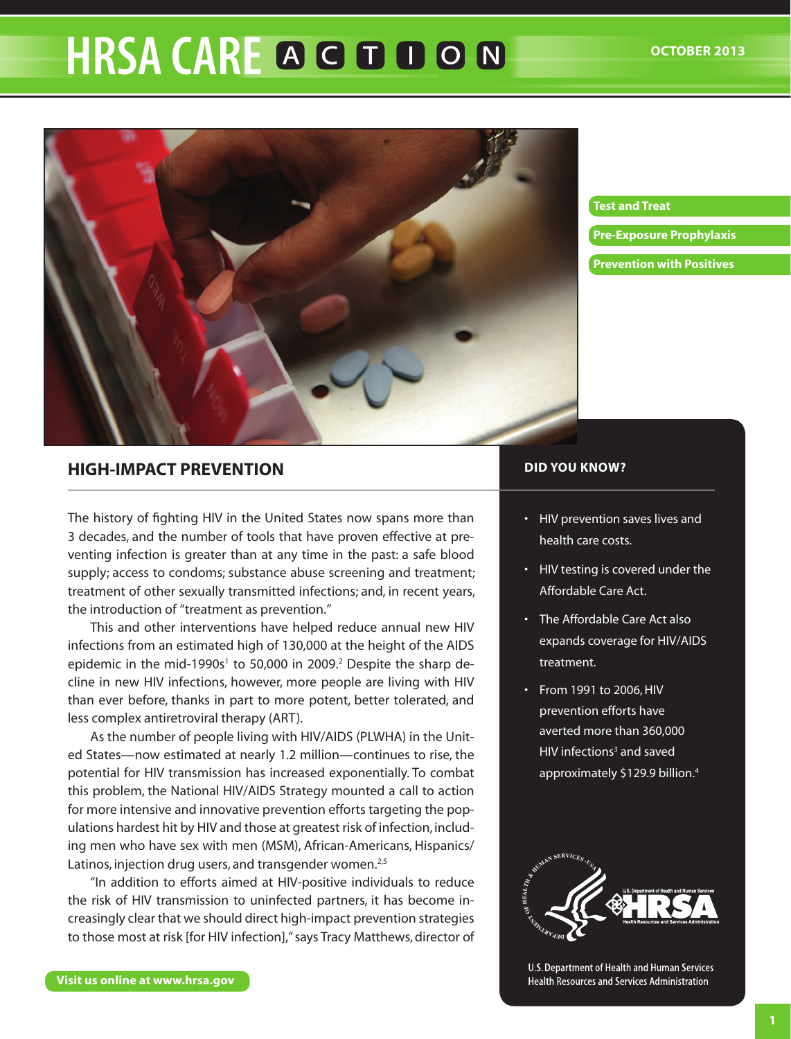# **HRSA CARE A G D D O N**



#### **[Test and Treat](#page-1-0)**

**[Pre-Exposure Prophylaxis](#page-5-0)**

**[Prevention with Positives](#page-6-0)**

# **High-Impact Prevention**

The history of fighting HIV in the United States now spans more than 3 decades, and the number of tools that have proven effective at preventing infection is greater than at any time in the past: a safe blood supply; access to condoms; substance abuse screening and treatment; treatment of other sexually transmitted infections; and, in recent years, the introduction of "treatment as prevention."

This and other interventions have helped reduce annual new HIV infections from an estimated high of 130,000 at the height of the AIDS epidemic in the mid-1990s<sup>1</sup> to 50,000 in 2009.<sup>2</sup> Despite the sharp decline in new HIV infections, however, more people are living with HIV than ever before, thanks in part to more potent, better tolerated, and less complex antiretroviral therapy (ART).

As the number of people living with HIV/AIDS (PLWHA) in the United States—now estimated at nearly 1.2 million—continues to rise, the potential for HIV transmission has increased exponentially. To combat this problem, the National HIV/AIDS Strategy mounted a call to action for more intensive and innovative prevention efforts targeting the populations hardest hit by HIV and those at greatest risk of infection, including men who have sex with men (MSM), African-Americans, Hispanics/ Latinos, injection drug users, and transgender women.<sup>2,5</sup>

"In addition to efforts aimed at HIV-positive individuals to reduce the risk of HIV transmission to uninfected partners, it has become increasingly clear that we should direct high-impact prevention strategies to those most at risk [for HIV infection]," says Tracy Matthews, director of

#### **DID YOU KNOW?**

- • HIV prevention saves lives and health care costs.
- • HIV testing is covered under the Affordable Care Act.
- The Affordable Care Act also expands coverage for HIV/AIDS treatment.
- • From 1991 to 2006,HIV prevention efforts have averted more than 360,000 HIV infections<sup>3</sup> and saved approximately \$129.9 billion. 4



U.S. Department of Health and Human Services Health Resources and Services Administration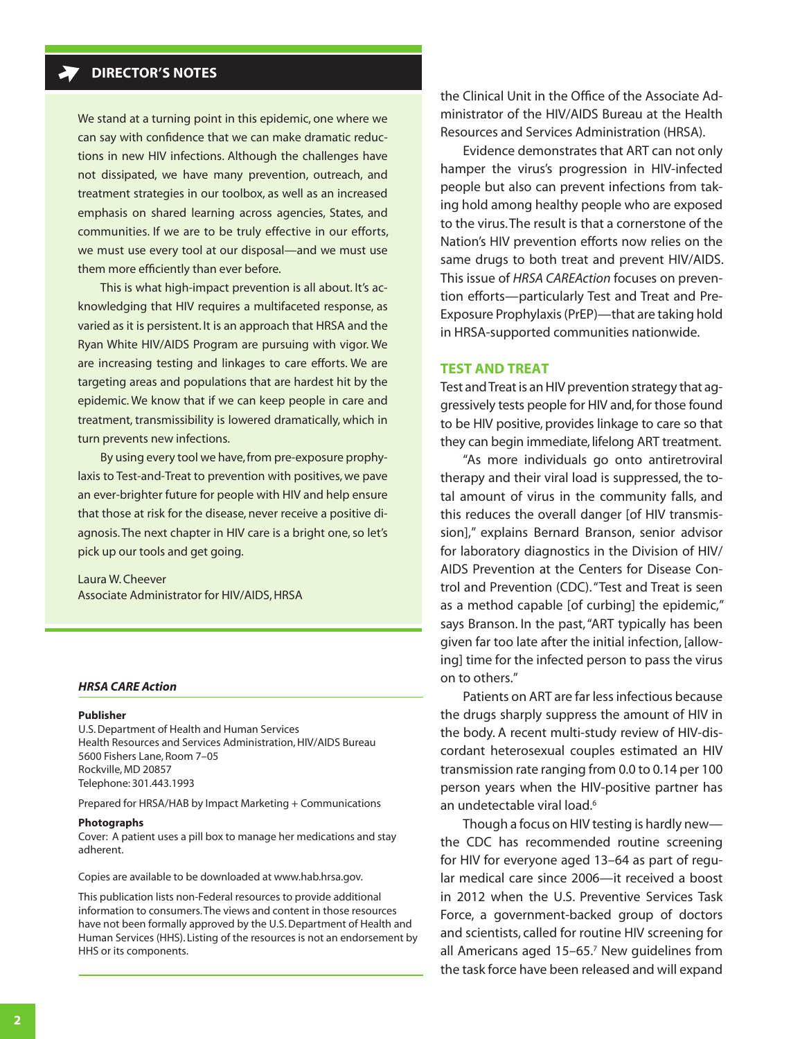# <span id="page-1-0"></span>**DIRECTOR'S NOTES**

We stand at a turning point in this epidemic, one where we can say with confidence that we can make dramatic reductions in new HIV infections. Although the challenges have not dissipated, we have many prevention, outreach, and treatment strategies in our toolbox, as well as an increased emphasis on shared learning across agencies, States, and communities. If we are to be truly effective in our efforts, we must use every tool at our disposal—and we must use them more efficiently than ever before.

This is what high-impact prevention is all about. It's acknowledging that HIV requires a multifaceted response, as varied as it is persistent. It is an approach that HRSA and the Ryan White HIV/AIDS Program are pursuing with vigor. We are increasing testing and linkages to care efforts. We are targeting areas and populations that are hardest hit by the epidemic. We know that if we can keep people in care and treatment, transmissibility is lowered dramatically, which in turn prevents new infections.

By using every tool we have, from pre-exposure prophylaxis to Test-and-Treat to prevention with positives, we pave an ever-brighter future for people with HIV and help ensure that those at risk for the disease, never receive a positive diagnosis. The next chapter in HIV care is a bright one, so let's pick up our tools and get going.

Laura W. Cheever Associate Administrator for HIV/AIDS, HRSA

#### *HRSA CARE Action*

#### **Publisher**

U.S. Department of Health and Human Services Health Resources and Services Administration, HIV/AIDS Bureau 5600 Fishers Lane, Room 7–05 Rockville, MD 20857 Telephone: 301.443.1993

Prepared for HRSA/HAB by Impact Marketing + Communications

#### **Photographs**

Cover: A patient uses a pill box to manage her medications and stay adherent.

Copies are available to be downloaded at<www.hab.hrsa.gov>.

This publication lists non-Federal resources to provide additional information to consumers. The views and content in those resources have not been formally approved by the U.S. Department of Health and Human Services (HHS). Listing of the resources is not an endorsement by HHS or its components.

the Clinical Unit in the Office of the Associate Administrator of the HIV/AIDS Bureau at the Health Resources and Services Administration (HRSA).

Evidence demonstrates that ART can not only hamper the virus's progression in HIV-infected people but also can prevent [infections](http://healthland.time.com/2011/07/13/anti-hiv-drugs-help-prevent-new-infection-in-heterosexuals/) from taking hold among healthy people who are exposed to the virus. The result is that a cornerstone of the Nation's HIV prevention efforts now relies on the same drugs to both treat and prevent HIV/AIDS. This issue of *HRSA CAREAction* focuses on prevention efforts—particularly Test and Treat and Pre-Exposure Prophylaxis (PrEP)—that are taking hold in HRSA-supported communities nationwide.

### **Test and Treat**

Test and Treat is an HIV prevention strategy that aggressively tests people for HIV and, for those found to be HIV positive, provides linkage to care so that they can begin immediate, lifelong ART treatment.

"As more individuals go onto antiretroviral therapy and their viral load is suppressed, the total amount of virus in the community falls, and this reduces the overall danger [of HIV transmission]," explains Bernard Branson, senior advisor for laboratory diagnostics in the Division of HIV/ AIDS Prevention at the Centers for Disease Control and Prevention (CDC). "Test and Treat is seen as a method capable [of curbing] the epidemic," says Branson. In the past, "ART typically has been given far too late after the initial infection, [allowing] time for the infected person to pass the virus on to others."

Patients on ART are far less infectious because the drugs sharply suppress the amount of HIV in the body. A recent multi-study review of HIV-discordant heterosexual couples estimated an HIV transmission rate ranging from 0.0 to 0.14 per 100 person years when the HIV-positive partner has an undetectable viral load.<sup>6</sup>

Though a focus on HIV testing is hardly new the CDC has recommended routine screening for HIV for everyone aged 13–64 as part of regular medical care since 2006—it received a boost in 2012 when the U.S. Preventive Services Task Force, a government-backed group of doctors and scientists, called for routine HIV screening for all Americans aged 15–65.7 New guidelines from the task force have been released and will expand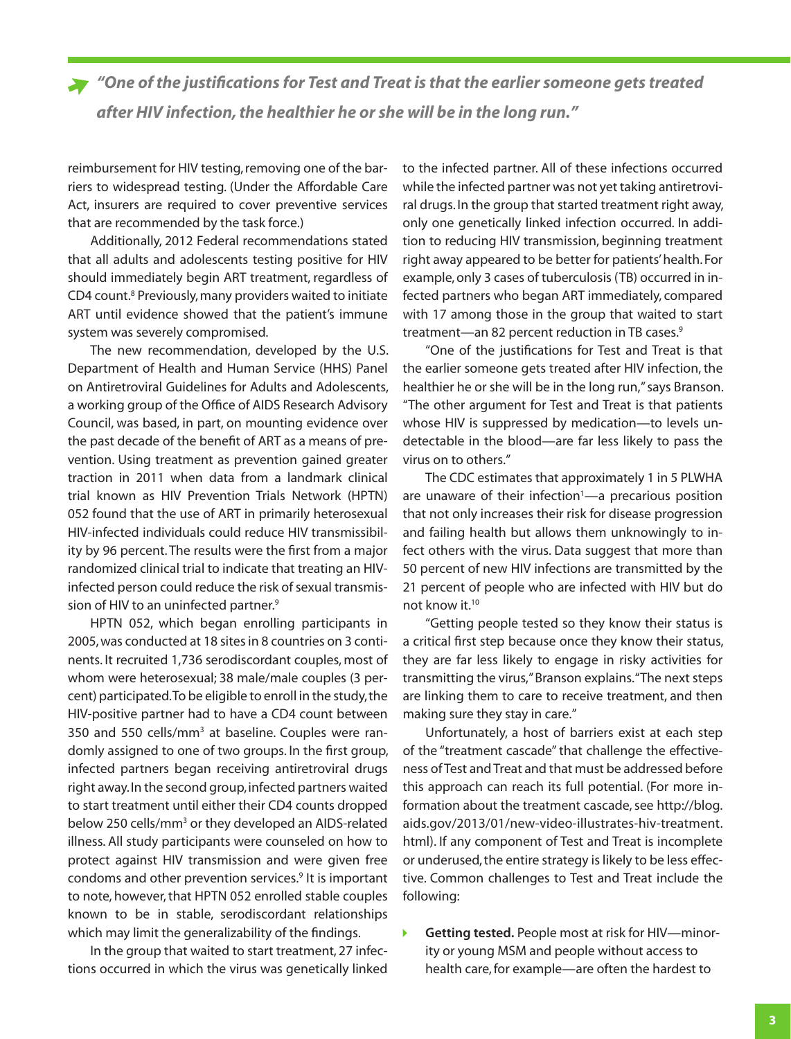*"One of the justifications for Test and Treat is that the earlier someone gets treated after HIV infection, the healthier he or she will be in the long run."* 

reimbursement for HIV testing, removing one of the barriers to widespread testing. (Under the Affordable Care Act, insurers are required to cover preventive services that are recommended by the task force.)

Additionally, 2012 Federal recommendations stated that all adults and adolescents testing positive for HIV should immediately begin ART treatment, regardless of CD4 count.<sup>8</sup> Previously, many providers waited to initiate ART until evidence showed that the patient's immune system was severely compromised.

The new recommendation, developed by the U.S. Department of Health and Human Service (HHS) Panel on Antiretroviral Guidelines for Adults and Adolescents, a working group of the Office of AIDS Research Advisory Council, was based, in part, on mounting evidence over the past decade of the benefit of ART as a means of prevention. Using treatment as prevention gained greater traction in 2011 when data from a landmark clinical trial known as HIV Prevention Trials Network (HPTN) 052 found that the use of ART in primarily heterosexual HIV-infected individuals could reduce HIV transmissibility by 96 percent.The results were the first from a major randomized clinical trial to indicate that treating an HIVinfected person could reduce the risk of sexual transmission of HIV to an uninfected partner.<sup>9</sup>

HPTN 052, which began enrolling participants in 2005, was conducted at 18 sites in 8 countries on 3 continents. It recruited 1,736 serodiscordant couples, most of whom were heterosexual; 38 male/male couples (3 percent) participated. To be eligible to enroll in the study, the HIV-positive partner had to have a CD4 count between 350 and 550 cells/mm<sup>3</sup> at baseline. Couples were randomly assigned to one of two groups. In the first group, infected partners began receiving antiretroviral drugs right away. In the second group, infected partners waited to start treatment until either their CD4 counts dropped below 250 cells/mm<sup>3</sup> or they developed an AIDS-related illness. All study participants were counseled on how to protect against HIV transmission and were given free condoms and other prevention services.<sup>9</sup> It is important to note, however, that HPTN 052 enrolled stable couples known to be in stable, serodiscordant relationships which may limit the generalizability of the findings.

In the group that waited to start treatment, 27 infections occurred in which the virus was genetically linked

to the infected partner. All of these infections occurred while the infected partner was not yet taking antiretroviral drugs. In the group that started treatment right away, only one genetically linked infection occurred. In addition to reducing HIV transmission, beginning treatment right away appeared to be better for patients'health. For example, only 3 cases of tuberculosis (TB) occurred in infected partners who began ART immediately, compared with 17 among those in the group that waited to start treatment—an 82 percent reduction in TB cases.9

"One of the justifications for Test and Treat is that the earlier someone gets treated after HIV infection, the healthier he or she will be in the long run," says Branson. "The other argument for Test and Treat is that patients whose HIV is suppressed by medication—to levels undetectable in the blood—are far less likely to pass the virus on to others."

The CDC estimates that approximately 1 in 5 PLWHA are unaware of their infection<sup>1</sup>—a precarious position that not only increases their risk for disease progression and failing health but allows them unknowingly to infect others with the virus. Data suggest that more than 50 percent of new HIV infections are transmitted by the 21 percent of people who are infected with HIV but do not know it.<sup>10</sup>

"Getting people tested so they know their status is a critical first step because once they know their status, they are far less likely to engage in risky activities for transmitting the virus," Branson explains. "The next steps are linking them to care to receive treatment, and then making sure they stay in care."

Unfortunately, a host of barriers exist at each step of the "treatment cascade" that challenge the effectiveness of Test and Treat and that must be addressed before this approach can reach its full potential. (For more information about the treatment cascade, see [http://blog.](http://blog.aids.gov/2013/01/new-video-illustrates-hiv-treatment.html) [aids.gov/2013/01/new-video-illustrates-hiv-treatment.](http://blog.aids.gov/2013/01/new-video-illustrates-hiv-treatment.html) [html](http://blog.aids.gov/2013/01/new-video-illustrates-hiv-treatment.html)). If any component of Test and Treat is incomplete or underused, the entire strategy is likely to be less effective. Common challenges to Test and Treat include the following:

**Getting tested.** People most at risk for HIV—minor-Ы ity or young MSM and people without access to health care, for example—are often the hardest to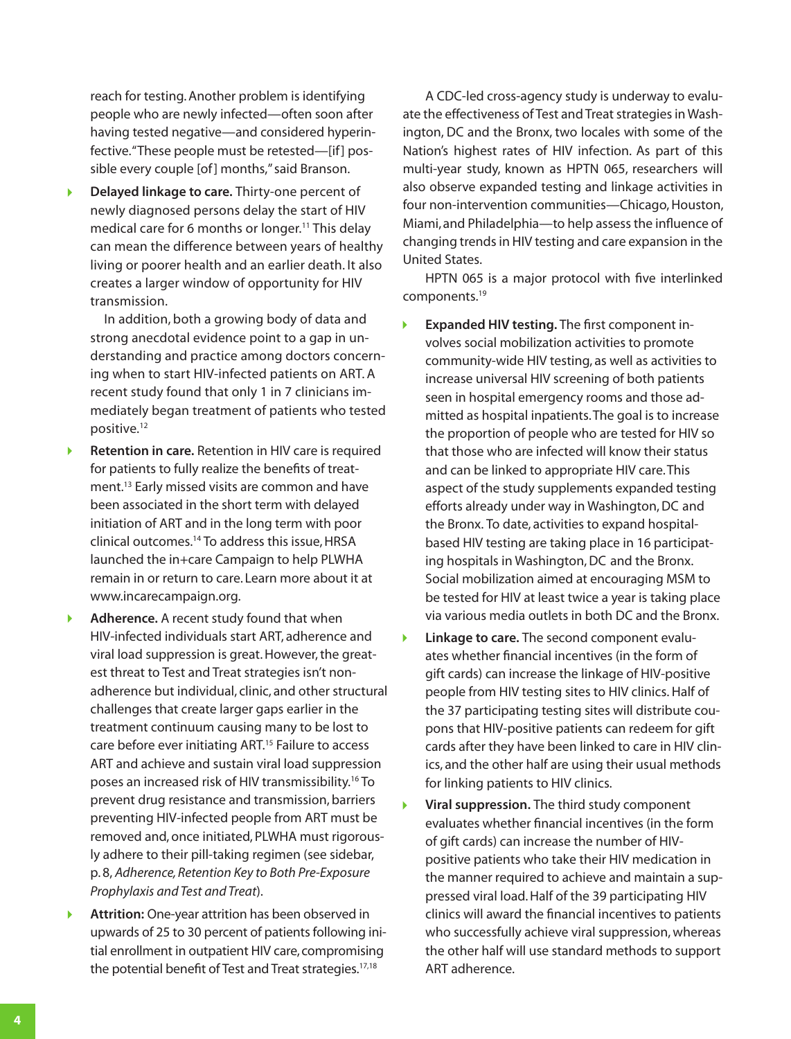reach for testing. Another problem is identifying people who are newly infected—often soon after having tested negative—and considered hyperinfective. "These people must be retested-[if] possible every couple [of] months," said Branson.

**Delayed linkage to care.** Thirty-one percent of newly diagnosed persons delay the start of HIV medical care for 6 months or longer.11 This delay can mean the difference between years of healthy living or poorer health and an earlier death. It also creates a larger window of opportunity for HIV transmission.

In addition, both a growing body of data and strong anecdotal evidence point to [a gap in un](http://www.washingtonpost.com/wp-dyn/content/article/2010/11/16/AR2010111606809.html)[derstandi](http://www.washingtonpost.com/wp-dyn/content/article/2010/11/16/AR2010111606809.html)ng and practice among doctors concerning when to start HIV-infected patients on ART. A recent study found that only 1 in 7 clinicians immediately began treatment of patients who tested positive.12

- Þ **Retention in care.** Retention in HIV care is required for patients to fully realize the benefits of treatment.13 Early missed visits are common and have been associated in the short term with delayed initiation of ART and in the long term with poor clinical outcomes.14 To address this issue, HRSA launched the in+care Campaign to help PLWHA remain in or return to care. Learn more about it at [www.incarecampaign.org.](www.incarecampaign.org)
- **Adherence.** A recent study found that when Þ HIV-infected individuals start ART, adherence and viral load suppression is great. However, the greatest threat to Test and Treat strategies isn't nonadherence but individual, clinic, and other structural challenges that create larger gaps earlier in the treatment continuum causing many to be lost to care before ever initiating ART.15 Failure to access ART and achieve and sustain viral load suppression poses an increased risk of HIV transmissibility.<sup>16</sup> To prevent drug resistance and transmission, barriers preventing HIV-infected people from ART must be removed and, once initiated, PLWHA must rigorously adhere to their pill-taking regimen (see sidebar, p. 8, *[Adherence, Retention Key to Both Pre-Exposure](#page-7-0)  [Prophylaxis and Test and Treat](#page-7-0)*).
- **Attrition:** One-year attrition has been observed in upwards of 25 to 30 percent of patients following initial enrollment in outpatient HIV care, compromising the potential benefit of Test and Treat strategies.<sup>17,18</sup>

A CDC-led cross-agency study is underway to evaluate the effectiveness of Test and Treat strategies in Washington, DC and the Bronx, two locales with some of the Nation's highest rates of HIV infection. As part of this multi-year study, known as HPTN 065, researchers will also observe expanded testing and linkage activities in four non-intervention communities—Chicago, Houston, Miami, and Philadelphia—to help assess the influence of changing trends in HIV testing and care expansion in the United States.

HPTN 065 is a major protocol with five interlinked components.19

- Ы **Expanded HIV testing.** The first component involves social mobilization activities to promote community-wide HIV testing, as well as activities to increase universal HIV screening of both patients seen in hospital emergency rooms and those admitted as hospital inpatients. The goal is to increase the proportion of people who are tested for HIV so that those who are infected will know their status and can be linked to appropriate HIV care. This aspect of the study supplements expanded testing efforts already under way in Washington, DC and the Bronx. To date, activities to expand hospitalbased HIV testing are taking place in 16 participating hospitals in Washington, DC and the Bronx. Social mobilization aimed at encouraging MSM to be tested for HIV at least twice a year is taking place via various media outlets in both DC and the Bronx.
- **Linkage to care.** The second component evalu- $\blacktriangleright$ ates whether financial incentives (in the form of gift cards) can increase the linkage of HIV-positive people from HIV testing sites to HIV clinics. Half of the 37 participating testing sites will distribute coupons that HIV-positive patients can redeem for gift cards after they have been linked to care in HIV clinics, and the other half are using their usual methods for linking patients to HIV clinics.
- **Viral suppression.** The third study component b. evaluates whether financial incentives (in the form of gift cards) can increase the number of HIVpositive patients who take their HIV medication in the manner required to achieve and maintain a suppressed viral load. Half of the 39 participating HIV clinics will award the financial incentives to patients who successfully achieve viral suppression, whereas the other half will use standard methods to support ART adherence.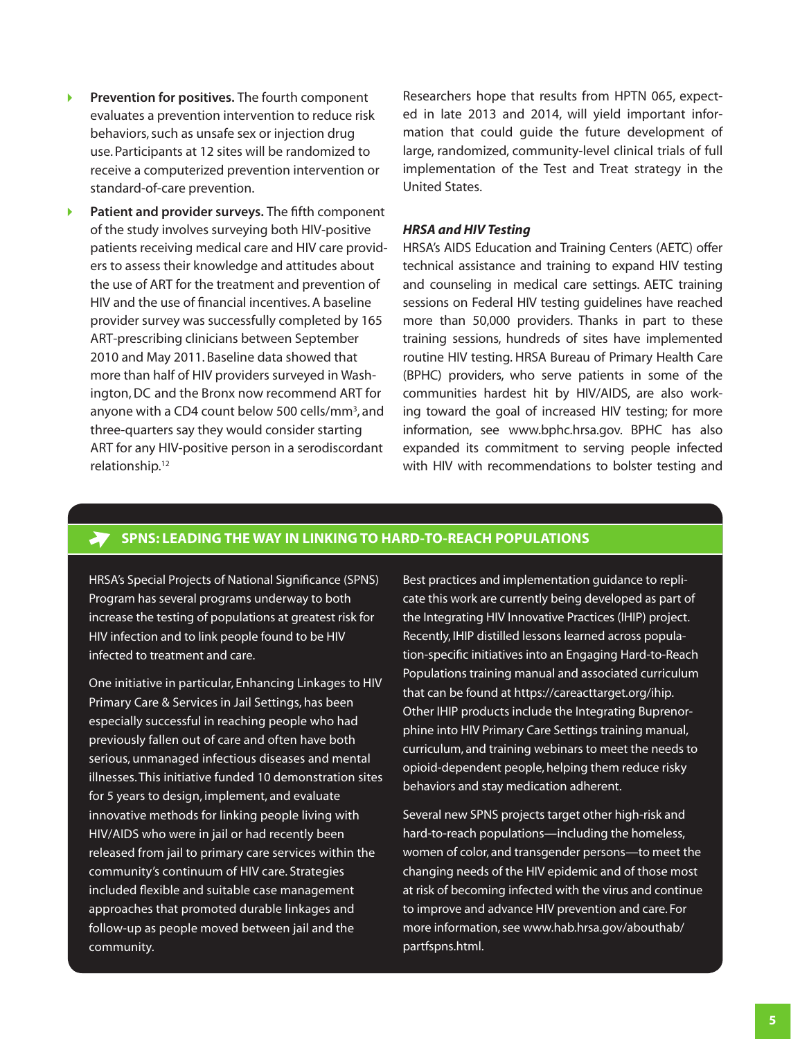- $\blacktriangleright$ **Prevention for positives.** The fourth component evaluates a prevention intervention to reduce risk behaviors, such as unsafe sex or injection drug use. Participants at 12 sites will be randomized to receive a computerized prevention intervention or standard-of-care prevention.
- **Patient and provider surveys.** The fifth component of the study involves surveying both HIV-positive patients receiving medical care and HIV care providers to assess their knowledge and attitudes about the use of ART for the treatment and prevention of HIV and the use of financial incentives. A baseline provider survey was successfully completed by 165 ART-prescribing clinicians between September 2010 and May 2011. Baseline data showed that more than half of HIV providers surveyed in Washington, DC and the Bronx now recommend ART for anyone with a CD4 count below 500 cells/mm<sup>3</sup>, and three-quarters say they would consider starting ART for any HIV-positive person in a serodiscordant relationship.12

Researchers hope that results from HPTN 065, expected in late 2013 and 2014, will yield important information that could guide the future development of large, randomized, community-level clinical trials of full implementation of the Test and Treat strategy in the United States.

#### *HRSA and HIV Testing*

HRSA's AIDS Education and Training Centers (AETC) offer technical assistance and training to expand HIV testing and counseling in medical care settings. AETC training sessions on Federal HIV testing guidelines have reached more than 50,000 providers. Thanks in part to these training sessions, hundreds of sites have implemented routine HIV testing. HRSA Bureau of Primary Health Care (BPHC) providers, who serve patients in some of the communities hardest hit by HIV/AIDS, are also working toward the goal of increased HIV testing; for more information, see [www.bphc.hrsa.gov.](www.bphc.hrsa.gov) BPHC has also expanded its commitment to serving people infected with HIV with recommendations to bolster testing and

# **SPNS: Leading the Way in Linking to Hard-to-Reach Populations**

HRSA's Special Projects of National Significance (SPNS) Program has several programs underway to both increase the testing of populations at greatest risk for HIV infection and to link people found to be HIV infected to treatment and care.

One initiative in particular, Enhancing Linkages to HIV Primary Care & Services in Jail Settings, has been especially successful in reaching people who had previously fallen out of care and often have both serious, unmanaged infectious diseases and mental illnesses. This initiative funded 10 demonstration sites for 5 years to design, implement, and evaluate innovative methods for linking people living with HIV/AIDS who were in jail or had recently been released from jail to primary care services within the community's continuum of HIV care. Strategies included flexible and suitable case management approaches that promoted durable linkages and follow-up as people moved between jail and the community.

Best practices and implementation guidance to replicate this work are currently being developed as part of the Integrating HIV Innovative Practices (IHIP) project. Recently, IHIP distilled lessons learned across population-specific initiatives into an Engaging Hard-to-Reach Populations training manual and associated curriculum that can be found at <https://careacttarget.org/ihip>. Other IHIP products include the Integrating Buprenorphine into HIV Primary Care Settings training manual, curriculum, and training webinars to meet the needs to opioid-dependent people, helping them reduce risky behaviors and stay medication adherent.

Several new SPNS projects target other high-risk and hard-to-reach populations—including the homeless, women of color, and transgender persons—to meet the changing needs of the HIV epidemic and of those most at risk of becoming infected with the virus and continue to improve and advance HIV prevention and care. For more information, see [www.hab.hrsa.gov/abouthab/](www.hab.hrsa.gov/abouthab/partfspns.html) [partfspns.html.](www.hab.hrsa.gov/abouthab/partfspns.html)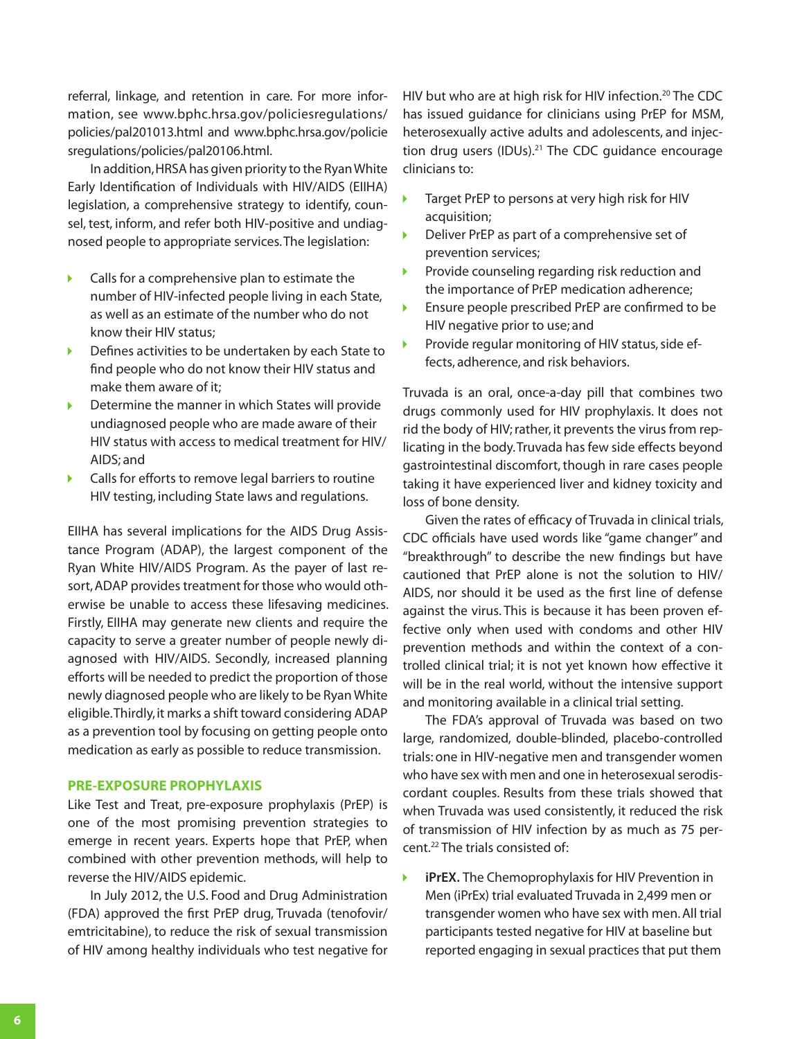<span id="page-5-0"></span>referral, linkage, and retention in care. For more information, see [www.bphc.hrsa.gov/policiesregulations/](http://bphc.hrsa.gov/policiesregulations/policies/pal201013.html) [policies/pal20](http://bphc.hrsa.gov/policiesregulations/policies/pal201013.html)1013[.html and www.bphc.hrsa.gov/policie](http://www.bphc.hrsa.gov/policiesregulations/policies/pal201106.html) [sregulations/policies/pal2](http://www.bphc.hrsa.gov/policiesregulations/policies/pal201106.html)0106.html.

In addition, HRSA has given priority to the Ryan White Early Identification of Individuals with HIV/AIDS (EIIHA) legislation, a comprehensive strategy to identify, counsel, test, inform, and refer both HIV-positive and undiagnosed people to appropriate services. The legislation:

- Calls for a comprehensive plan to estimate the K number of HIV-infected people living in each State, as well as an estimate of the number who do not know their HIV status;
- Defines activities to be undertaken by each State to find people who do not know their HIV status and make them aware of it;
- Determine the manner in which States will provide undiagnosed people who are made aware of their HIV status with access to medical treatment for HIV/ AIDS; and
- ь Calls for efforts to remove legal barriers to routine HIV testing, including State laws and regulations.

EIIHA has several implications for the AIDS Drug Assistance Program (ADAP), the largest component of the Ryan White HIV/AIDS Program. As the payer of last resort, ADAP provides treatment for those who would otherwise be unable to access these lifesaving medicines. Firstly, EIIHA may generate new clients and require the capacity to serve a greater number of people newly diagnosed with HIV/AIDS. Secondly, increased planning efforts will be needed to predict the proportion of those newly diagnosed people who are likely to be Ryan White eligible. Thirdly, it marks a shift toward considering ADAP as a prevention tool by focusing on getting people onto medication as early as possible to reduce transmission.

### **Pre-Exposure Prophylaxis**

Like Test and Treat, pre-exposure prophylaxis (PrEP) is one of the most promising prevention strategies to emerge in recent years. Experts hope that PrEP, when combined with other prevention methods, will help to reverse the HIV/AIDS epidemic.

In July 2012, the U.S. Food and Drug Administration (FDA) approved the first PrEP drug, Truvada (tenofovir/ emtricitabine), to reduce the risk of sexual transmission of HIV among healthy individuals who test negative for HIV but who are at high risk for HIV infection.<sup>20</sup> The CDC has issued guidance for clinicians using PrEP for MSM, heterosexually active adults and adolescents, and injection drug users (IDUs).<sup>21</sup> The CDC guidance encourage clinicians to:

- Target PrEP to persons at very high risk for HIV acquisition;
- Deliver PrEP as part of a comprehensive set of prevention services;
- K Provide counseling regarding risk reduction and the importance of PrEP medication adherence;
- Ensure people prescribed PrEP are confirmed to be HIV negative prior to use; and
- $\blacktriangleright$ Provide regular monitoring of HIV status, side effects, adherence, and risk behaviors.

Truvada is an oral, once-a-day pill that combines two drugs commonly used for HIV prophylaxis. It does not rid the body of HIV; rather, it prevents the virus from replicating in the body. Truvada has few side effects beyond gastrointestinal discomfort, though in rare cases people taking it have experienced liver and kidney toxicity and loss of bone density.

Given the rates of efficacy of Truvada in clinical trials, CDC officials have used words like "game changer" and "breakthrough" to describe the new findings but have cautioned that PrEP alone is not the solution to HIV/ AIDS, nor should it be used as the first line of defense against the virus. This is because it has been proven effective only when used with condoms and other HIV prevention methods and within the context of a controlled clinical trial; it is not yet known how effective it will be in the real world, without the intensive support and monitoring available in a clinical trial setting.

The FDA's approval of Truvada was based on two large, randomized, double-blinded, placebo-controlled trials: one in HIV-negative men and transgender women who have sex with men and one in heterosexual serodiscordant couples. Results from these trials showed that when Truvada was used consistently, it reduced the risk of transmission of HIV infection by as much as 75 percent.22 The trials consisted of:

К **iPrEX.** The Chemoprophylaxis for HIV Prevention in Men (iPrEx) trial evaluated Truvada in 2,499 men or transgender women who have sex with men. All trial participants tested negative for HIV at baseline but reported engaging in sexual practices that put them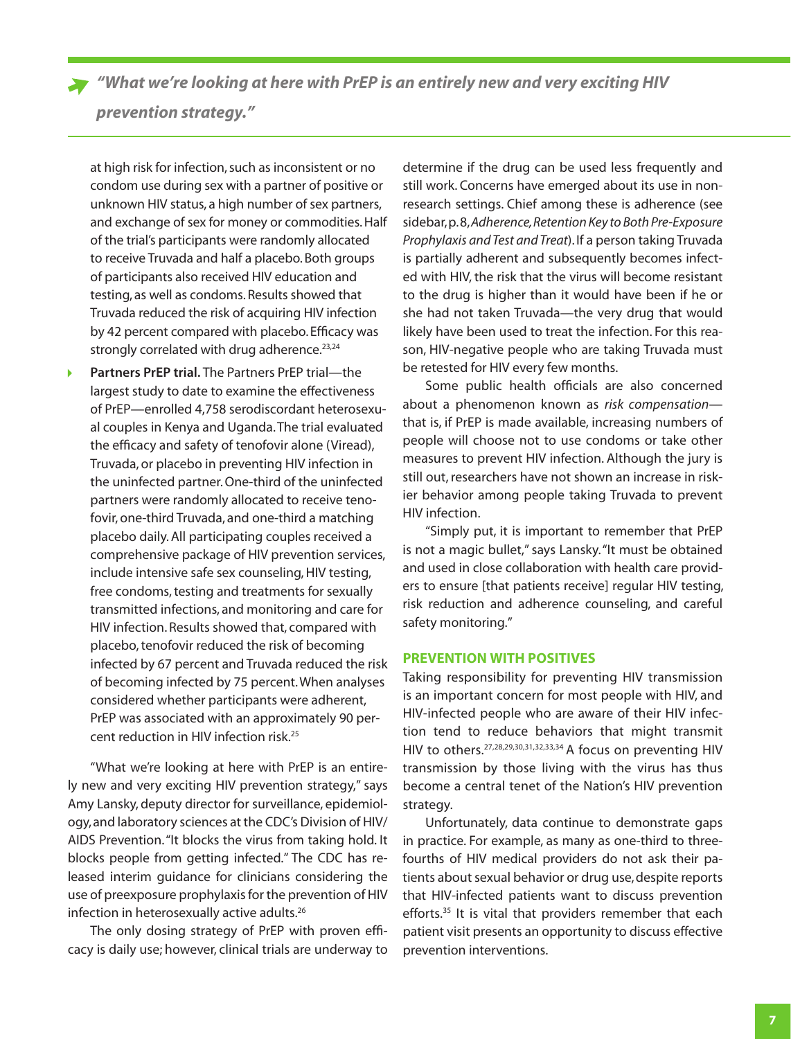# <span id="page-6-0"></span>*prevention strategy."*

at high risk for infection, such as inconsistent or no condom use during sex with a partner of positive or unknown HIV status, a high number of sex partners, and exchange of sex for money or commodities. Half of the trial's participants were randomly allocated to receive Truvada and half a placebo. Both groups of participants also received HIV education and testing, as well as condoms. Results showed that Truvada reduced the risk of acquiring HIV infection by 42 percent compared with placebo. Efficacy was strongly correlated with drug adherence.<sup>23,24</sup>

**Partners PrEP trial.** The Partners PrEP trial—the largest study to date to examine the effectiveness of PrEP—enrolled 4,758 serodiscordant heterosexual couples in Kenya and Uganda. The trial evaluated the efficacy and safety of tenofovir alone (Viread), Truvada, or placebo in preventing HIV infection in the uninfected partner. One-third of the uninfected partners were randomly allocated to receive tenofovir, one-third Truvada, and one-third a matching placebo daily. All participating couples received a comprehensive package of HIV prevention services, include intensive safe sex counseling, HIV testing, free condoms, testing and treatments for sexually transmitted infections, and monitoring and care for HIV infection. Results showed that, compared with placebo, tenofovir reduced the risk of becoming infected by 67 percent and Truvada reduced the risk of becoming infected by 75 percent.When analyses considered whether participants were adherent, PrEP was associated with an approximately 90 percent reduction in HIV infection risk.25

"What we're looking at here with PrEP is an entirely new and very exciting HIV prevention strategy," says Amy Lansky, deputy director for surveillance, epidemiology, and laboratory sciences at the CDC's Division of HIV/ AIDS Prevention. "It blocks the virus from taking hold. It blocks people from getting infected." The CDC has released interim guidance for clinicians considering the use of preexposure prophylaxis for the prevention of HIV infection in heterosexually active adults.<sup>26</sup>

The only dosing strategy of PrEP with proven efficacy is daily use; however, clinical trials are underway to

determine if the drug can be used less frequently and still work. Concerns have emerged about its use in nonresearch settings. Chief among these is adherence (see sidebar, p. 8, *[Adherence, Retention Key to Both Pre-Exposure](#page-7-0)  [Prophylaxis and Test and Treat](#page-7-0)*). If a person taking Truvada is partially adherent and subsequently becomes infected with HIV, the risk that the virus will become resistant to the drug is higher than it would have been if he or she had not taken Truvada—the very drug that would likely have been used to treat the infection. For this reason, HIV-negative people who are taking Truvada must be retested for HIV every few months.

Some public health officials are also concerned about a phenomenon known as *risk compensation* that is, if PrEP is made available, increasing numbers of people will choose not to use condoms or take other measures to prevent HIV infection. Although the jury is still out, researchers have not shown an increase in riskier behavior among people taking Truvada to prevent HIV infection.

"Simply put, it is important to remember that PrEP is not a magic bullet," says Lansky. "It must be obtained and used in close collaboration with health care providers to ensure [that patients receive] regular HIV testing, risk reduction and adherence counseling, and careful safety monitoring."

#### **Prevention with Positives**

Taking responsibility for preventing HIV transmission is an important concern for most people with HIV, and HIV-infected people who are aware of their HIV infection tend to reduce behaviors that might transmit HIV to others.27,28,29,30,31,32,33,34 A focus on preventing HIV transmission by those living with the virus has thus become a central tenet of the Nation's HIV prevention strategy.

Unfortunately, data continue to demonstrate gaps in practice. For example, as many as one-third to threefourths of HIV medical providers do not ask their patients about sexual behavior or drug use, despite reports that HIV-infected patients want to discuss prevention efforts.<sup>35</sup> It is vital that providers remember that each patient visit presents an opportunity to discuss effective prevention interventions.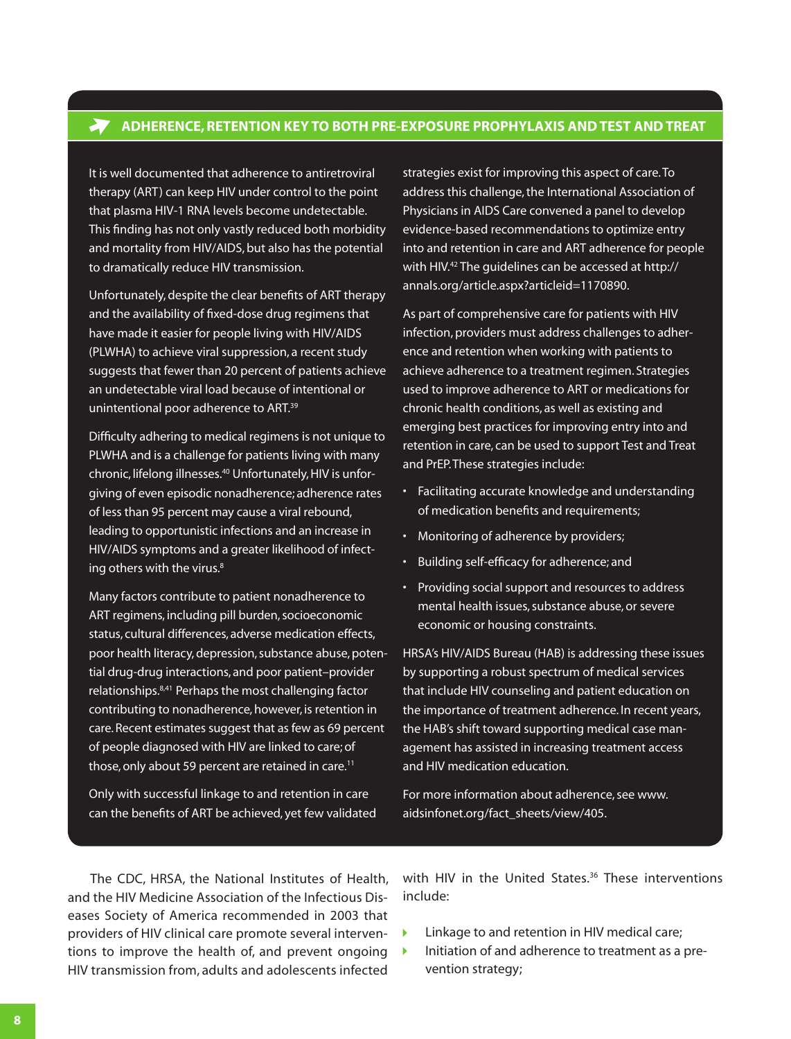# <span id="page-7-0"></span>**Adherence, Retention Key to Both Pre-Exposure Prophylaxis and Test and Treat**

It is well documented that adherence to antiretroviral therapy (ART) can keep HIV under control to the point that plasma HIV-1 RNA levels become undetectable. This finding has not only vastly reduced both morbidity and mortality from HIV/AIDS, but also has the potential to dramatically reduce HIV transmission.

Unfortunately, despite the clear benefits of ART therapy and the availability of fixed-dose drug regimens that have made it easier for people living with HIV/AIDS (PLWHA) to achieve viral suppression, a recent study suggests that fewer than 20 percent of patients achieve an undetectable viral load because of intentional or unintentional poor adherence to ART.<sup>39</sup>

Difficulty adhering to medical regimens is not unique to PLWHA and is a challenge for patients living with many chronic, lifelong illnesses.40 Unfortunately, HIV is unforgiving of even episodic nonadherence; adherence rates of less than 95 percent may cause a viral rebound, leading to opportunistic infections and an increase in HIV/AIDS symptoms and a greater likelihood of infecting others with the virus.<sup>8</sup>

Many factors contribute to patient nonadherence to ART regimens, including pill burden, socioeconomic status, cultural differences, adverse medication effects, poor health literacy, depression, substance abuse, potential drug-drug interactions, and poor patient–provider relationships.8,41 Perhaps the most challenging factor contributing to nonadherence, however, is retention in care. Recent estimates suggest that as few as 69 percent of people diagnosed with HIV are linked to care; of those, only about 59 percent are retained in care.<sup>11</sup>

Only with successful linkage to and retention in care can the benefits of ART be achieved, yet few validated

strategies exist for improving this aspect of care. To address this challenge, the International Association of Physicians in AIDS Care convened a panel to develop evidence-based recommendations to optimize entry into and retention in care and ART adherence for people with HIV.<sup>42</sup> The quidelines can be accessed at [http://](http://annals.org/article.aspx?articleid=1170890.) [annals.org/article.aspx?articleid=1170890.](http://annals.org/article.aspx?articleid=1170890.)

As part of comprehensive care for patients with HIV infection, providers must address challenges to adherence and retention when working with patients to achieve adherence to a treatment regimen. Strategies used to improve adherence to ART or medications for chronic health conditions, as well as existing and emerging best practices for improving entry into and retention in care, can be used to support Test and Treat and PrEP. These strategies include:

- • Facilitating accurate knowledge and understanding of medication benefits and requirements;
- Monitoring of adherence by providers;
- • Building self-efficacy for adherence; and
- Providing social support and resources to address mental health issues, substance abuse, or severe economic or housing constraints.

HRSA's HIV/AIDS Bureau (HAB) is addressing these issues by supporting a robust spectrum of medical services that include HIV counseling and patient education on the importance of treatment adherence. In recent years, the HAB's shift toward supporting medical case management has assisted in increasing treatment access and HIV medication education.

For more information about adherence, see [www.](www.aidsinfonet.org/fact_sheets/view) [aidsinfonet.org/fact\\_sheets/view](www.aidsinfonet.org/fact_sheets/view)/405.

The CDC, HRSA, the National Institutes of Health, and the HIV Medicine Association of the Infectious Diseases Society of America recommended in 2003 that providers of HIV clinical care promote several interventions to improve the health of, and prevent ongoing HIV transmission from, adults and adolescents infected

with HIV in the United States.<sup>36</sup> These interventions include:

- Linkage to and retention in HIV medical care;  $\blacktriangleright$
- $\blacktriangleright$ Initiation of and adherence to treatment as a prevention strategy;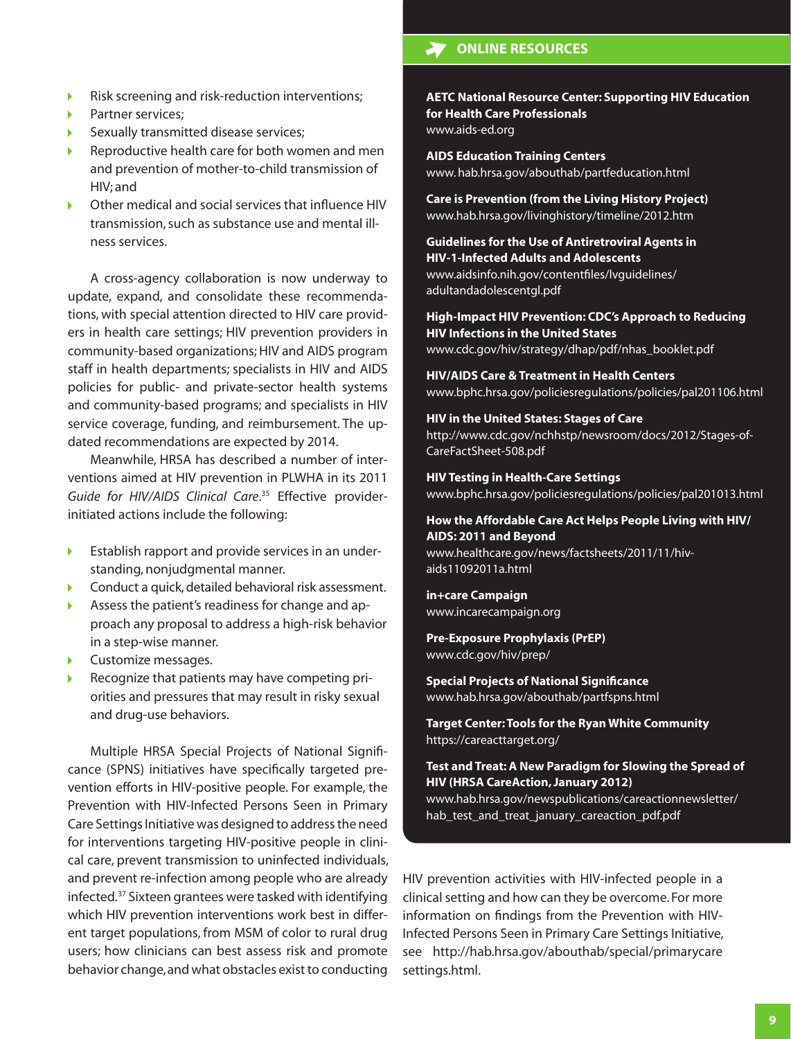- Risk screening and risk-reduction interventions;  $\blacktriangleright$
- Partner services; Þ
- Sexually transmitted disease services;
- Reproductive health care for both women and men and prevention of mother-to-child transmission of HIV; and
- Other medical and social services that influence HIV transmission, such as substance use and mental illness services.

A cross-agency collaboration is now underway to update, expand, and consolidate these recommendations, with special attention directed to HIV care providers in health care settings; HIV prevention providers in community-based organizations; HIV and AIDS program staff in health departments; specialists in HIV and AIDS policies for public- and private-sector health systems and community-based programs; and specialists in HIV service coverage, funding, and reimbursement. The updated recommendations are expected by 2014.

Meanwhile, HRSA has described a number of interventions aimed at HIV prevention in PLWHA in its 2011 *Guide for HIV/AIDS Clinical Care*. 35 Effective providerinitiated actions include the following:

- $\blacktriangleright$ Establish rapport and provide services in an understanding, nonjudgmental manner.
- Conduct a quick, detailed behavioral risk assessment. ь
- Assess the patient's readiness for change and apь proach any proposal to address a high-risk behavior in a step-wise manner.
- Customize messages. b.
- Recognize that patients may have competing priorities and pressures that may result in risky sexual and drug-use behaviors.

Multiple HRSA Special Projects of National Significance (SPNS) initiatives have specifically targeted prevention efforts in HIV-positive people. For example, the Prevention with HIV-Infected Persons Seen in Primary Care Settings Initiative was designed to address the need for interventions targeting HIV-positive people in clinical care, prevent transmission to uninfected individuals, and prevent re-infection among people who are already infected.<sup>37</sup> Sixteen grantees were tasked with identifying which HIV prevention interventions work best in different target populations, from MSM of color to rural drug users; how clinicians can best assess risk and promote behavior change, and what obstacles exist to conducting

# **ONLINE RESOURCES**

# **AETC National Resource Center: Supporting HIV Education for Health Care Professionals**

[www.aids-ed.org](http://www.aids-ed.org)

**AIDS Education Training Centers** www. <hab.hrsa.gov/abouthab/partfeducation.html>

**Care is Prevention (from the Living History Project)** <www.hab.hrsa.gov/livinghistory/timeline/2012.htm>

**Guidelines for the Use of Antiretroviral Agents in HIV-1-Infected Adults and Adolescents** [www.aidsinfo.nih.gov/contentfiles/lvguidelines/](www.aidsinfo.nih.gov/contentfiles/lvguidelines/adultandadolescentgl.pdf) [adultandadolescentgl.pdf](www.aidsinfo.nih.gov/contentfiles/lvguidelines/adultandadolescentgl.pdf)

**High-Impact HIV Prevention: CDC's Approach to Reducing HIV Infections in the United States** [www.cdc.gov/hiv/strategy/dhap/pdf/nhas\\_booklet.pdf](www.cdc.gov/hiv/strategy/dhap/pdf/nhas_booklet.pdf)

**HIV/AIDS Care & Treatment in Health Centers** <www.bphc.hrsa.gov/policiesregulations/policies/pal201106.html>

**HIV in the United States: Stages of Care** [http://www.cdc.gov/nchhstp/newsroom/docs/2012/Stages-of-](http://www.cdc.gov/nchhstp/newsroom/docs/2012/Stages-of-CareFactSheet-508.pdf)[CareFactSheet-508.pdf](http://www.cdc.gov/nchhstp/newsroom/docs/2012/Stages-of-CareFactSheet-508.pdf)

**HIV Testing in Health-Care Settings**  <www.bphc.hrsa.gov/policiesregulations/policies/pal201013.html>

## **How the Affordable Care Act Helps People Living with HIV/ AIDS: 2011 and Beyond**  <www.healthcare.gov/news/factsheets/2011/11/hiv>[-](-aids11092011a.html)

[aids11092011a.html](-aids11092011a.html)

**in+care Campaign** <www.incarecampaign.org>

**Pre-Exposure Prophylaxis (PrEP)**

<www.cdc.gov/hiv/prep>/

**Special Projects of National Significance** <www.hab.hrsa.gov/abouthab/partfspns.html>

**Target Center: Tools for the Ryan White Community** <https://careacttarget.org>/

**Test and Treat: A New Paradigm for Slowing the Spread of HIV (HRSA CareAction, January 2012)** [www.hab.hrsa.gov/newspublications/careactionnewsletter/](www.hab.hrsa.gov/newspublications/careactionnewsletter/hab_test_and_treat_january_careaction_pdf.pdf)

[hab\\_test\\_and\\_treat\\_january\\_careaction\\_pdf.pdf](www.hab.hrsa.gov/newspublications/careactionnewsletter/hab_test_and_treat_january_careaction_pdf.pdf)

HIV prevention activities with HIV-infected people in a clinical setting and how can they be overcome. For more information on findings from the Prevention with HIV-Infected Persons Seen in Primary Care Settings Initiative, see <http://hab.hrsa.gov/abouthab/special/primarycare> [settings.html.](settings.html)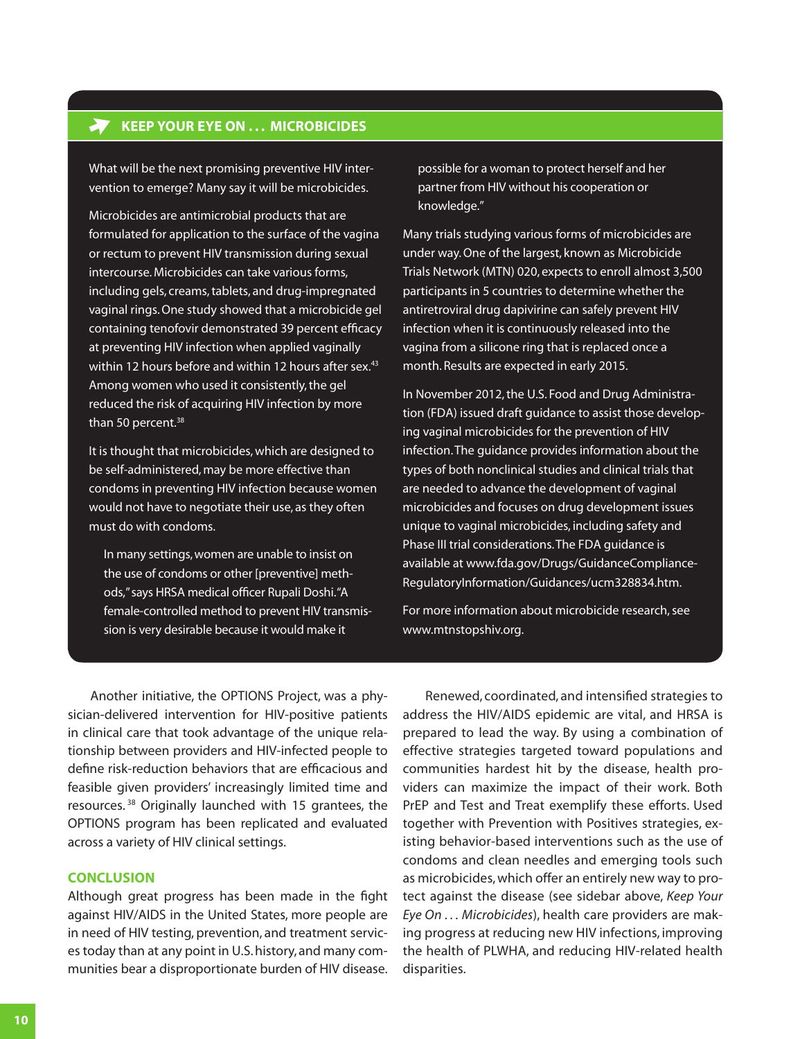# **KEEP YOUR EYE ON ... MICROBICIDES**

What will be the next promising preventive HIV intervention to emerge? Many say it will be microbicides.

Microbicides are antimicrobial products that are formulated for application to the surface of the vagina or rectum to prevent HIV transmission during sexual intercourse. Microbicides can take various forms, including gels, creams, tablets, and drug-impregnated vaginal rings. One study showed that a microbicide gel containing tenofovir demonstrated 39 percent efficacy at preventing HIV infection when applied vaginally within 12 hours before and within 12 hours after sex.<sup>43</sup> Among women who used it consistently, the gel reduced the risk of acquiring HIV infection by more than 50 percent.<sup>38</sup>

It is thought that microbicides, which are designed to be self-administered, may be more effective than condoms in preventing HIV infection because women would not have to negotiate their use, as they often must do with condoms.

In many settings, women are unable to insist on the use of condoms or other [preventive] methods," says HRSA medical officer Rupali Doshi. "A female-controlled method to prevent HIV transmission is very desirable because it would make it

possible for a woman to protect herself and her partner from HIV without his cooperation or knowledge."

Many trials studying various forms of microbicides are under way. One of the largest, known as Microbicide Trials Network (MTN) 020, expects to enroll almost 3,500 participants in 5 countries to determine whether the antiretroviral drug dapivirine can safely prevent HIV infection when it is continuously released into the vagina from a silicone ring that is replaced once a month. Results are expected in early 2015.

In November 2012,the U.S. Food and Drug Administration (FDA) issued draft guidance to assist those developing vaginal microbicides for the prevention of HIV infection. The guidance provides information about the types of both nonclinical studies and clinical trials that are needed to advance the development of vaginal microbicides and focuses on drug development issues unique to vaginal microbicides, including safety and Phase III trial considerations.The FDA guidance is available at [www.fda.gov/Drugs/GuidanceCompliance-](www.fda.gov/Drugs/GuidanceComplianceRegulatoryInformation/Guidances/ucm328834.htm)[RegulatoryInformation/Guidances/ucm328834.htm](www.fda.gov/Drugs/GuidanceComplianceRegulatoryInformation/Guidances/ucm328834.htm).

For more information about microbicide research, see <www.mtnstopshiv.org>.

Another initiative, the OPTIONS Project, was a physician-delivered intervention for HIV-positive patients in clinical care that took advantage of the unique relationship between providers and HIV-infected people to define risk-reduction behaviors that are efficacious and feasible given providers' increasingly limited time and resources. 38 Originally launched with 15 grantees, the OPTIONS program has been replicated and evaluated across a variety of HIV clinical settings.

## **Conclusion**

Although great progress has been made in the fight against HIV/AIDS in the United States, more people are in need of HIV testing, prevention, and treatment services today than at any point in U.S. history, and many communities bear a disproportionate burden of HIV disease.

Renewed, coordinated, and intensified strategies to address the HIV/AIDS epidemic are vital, and HRSA is prepared to lead the way. By using a combination of effective strategies targeted toward populations and communities hardest hit by the disease, health providers can maximize the impact of their work. Both PrEP and Test and Treat exemplify these efforts. Used together with Prevention with Positives strategies, existing behavior-based interventions such as the use of condoms and clean needles and emerging tools such as microbicides, which offer an entirely new way to protect against the disease (see sidebar above, *Keep Your Eye On . . . Microbicides*), health care providers are making progress at reducing new HIV infections, improving the health of PLWHA, and reducing HIV-related health disparities.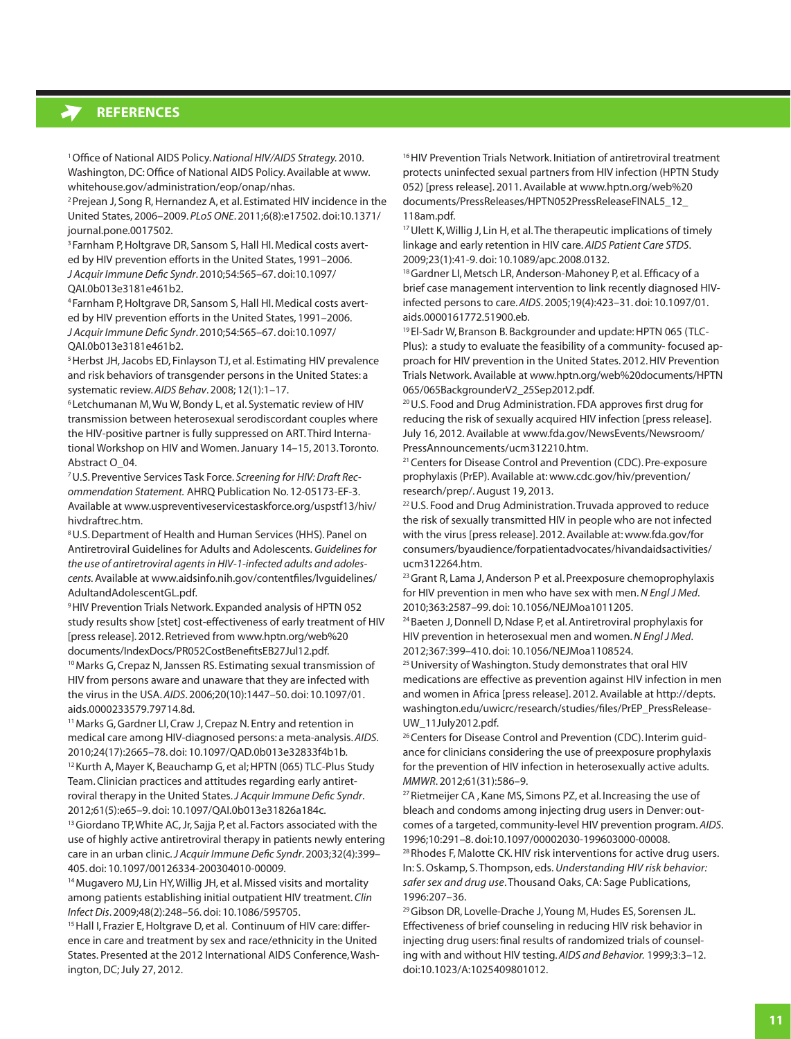# **references**

1Office of National AIDS Policy. *National HIV/AIDS Strategy.* 2010. Washington, DC: Office of National AIDS Policy. Available at [www.](http://www.whitehouse.gov/administration/eop/onap/nhas) [whitehouse.gov/administration/eop/onap/nhas](http://www.whitehouse.gov/administration/eop/onap/nhas).

2Prejean J, Song R, Hernandez A, et al. Estimated HIV incidence in the United States, 2006–2009. *PLoS ONE*. 2011;6(8):e17502.doi:[10.1371/](10.1371/journal.pone) [journal.pone.](10.1371/journal.pone)0017502.

<sup>3</sup> Farnham P, Holtgrave DR, Sansom S, Hall HI. Medical costs averted by HIV prevention efforts in the United States, 1991–2006. *J Acquir Immune Defic Syndr*. 2010;54:565–67.doi[:10.1097/](10.1097/QAI) [QAI.](10.1097/QAI)0b013e3181e461b2.

<sup>4</sup> Farnham P,Holtgrave DR, Sansom S, Hall HI. Medical costs averted by HIV prevention efforts in the United States, 1991–2006. *J Acquir Immune Defic Syndr*. 2010;54:565–67.doi[:10.1097/](10.1097/QAI) [QAI.](10.1097/QAI)0b013e3181e461b2.

<sup>5</sup> Herbst JH, Jacobs ED, Finlayson TJ, et al. Estimating HIV prevalence and risk behaviors of transgender persons in the United States: a systematic review. *AIDS Behav*. 2008; 12(1):1–17.

<sup>6</sup> Letchumanan M, Wu W, Bondy L, et al. Systematic review of HIV transmission between heterosexual serodiscordant couples where the HIV-positive partner is fully suppressed on ART. Third International Workshop on HIV and Women.January 14–15, 2013.Toronto. Abstract O\_04.

7U.S. Preventive Services Task Force. *Screening for HIV: Draft Recommendation Statement.* AHRQ Publication No. 12-05173-EF-3. Available at [www.uspreventiveservicestaskforce.org/uspstf13/hiv/](www.uspreventiveservicestaskforce.org/uspstf13/hiv/hivdraftrec.htm) [hivdraftrec.htm](www.uspreventiveservicestaskforce.org/uspstf13/hiv/hivdraftrec.htm).

8U.S. Department of Health and Human Services (HHS). Panel on Antiretroviral Guidelines for Adults and Adolescents. *Guidelines for the use of antiretroviral agents in HIV-1-infected adults and adolescents.* Available at www[.aidsinfo.nih.gov/contentfiles/lvguidelines/](http://aidsinfo.nih.gov/contentfiles/lvguidelines/AdultandAdolescentGL.pdf) [AdultandAdolescentGL.pdf](http://aidsinfo.nih.gov/contentfiles/lvguidelines/AdultandAdolescentGL.pdf)[.](http://aidsinfo.nih.gov/ContentFiles/AdultandAdolescentGL.pdf) 

<sup>9</sup> [HIV Prevention Trials Network](http://www.hptn.org/index.htm). Expanded analysis of HPTN 052 study results show [stet] cost-effectiveness of early treatment of HIV [press release]. 2012. Retrieved from [www.hptn.org/web%20](http://www.hptn.org/web documents/IndexDocs/PR052CostBenefitsEB27Jul12.pdf) [documents/IndexDocs/PR052CostBenefitsEB27Jul12.pdf.](http://www.hptn.org/web documents/IndexDocs/PR052CostBenefitsEB27Jul12.pdf)

<sup>10</sup> Marks G, Crepaz N, Janssen RS. Estimating sexual transmission of HIV from persons aware and unaware that they are infected with the virus in the USA. *AIDS*. 2006;20(10):1447–50.doi: [10.1097/01.](10.1097/01.aids) [aids](10.1097/01.aids).0000233579.79714.8d.

11Marks G, Gardner LI, Craw J, Crepaz N. Entry and retention in medical care among HIV-diagnosed persons: a meta-analysis. *AIDS*. 2010;24(17):2665–78.doi: <10.1097/QAD>.0b013e32833f4b1b. <sup>12</sup> Kurth A, Mayer K, Beauchamp G, et al; HPTN (065) [TLC-Plus](http://www.ncbi.nlm.nih.gov/pubmed?term=%22HPTN (065) TLC-Plus Study Team%22%5BCorporate Author%5D) Study [Team](http://www.ncbi.nlm.nih.gov/pubmed?term=%22HPTN (065) TLC-Plus Study Team%22%5BCorporate Author%5D). Clinician practices and attitudes regarding early antiretroviral therapy in the United States. *J Acquir Immune Defic Syndr*. 2012;61(5):e65–9.doi: [10.1097/QAI.](10.1097/QAI)0b013e31826a184c.

<sup>13</sup> Giordano TP, White AC, Jr, Sajja P, et al. Factors associated with the use of highly active antiretroviral therapy in patients newly entering care in an urban clinic. *J Acquir Immune Defic Syndr*. 2003;32(4):399– 405.doi: 10.1097/00126334-200304010-00009.

<sup>14</sup> Mugavero MJ, Lin HY, Willig JH, et al. Missed visits and mortality among patients establishing initial outpatient HIV treatment. *Clin Infect Dis*. 2009;48(2):248–56.doi: 10.1086/595705.

<sup>15</sup> Hall I, Frazier E, Holtgrave D, et al. Continuum of HIV care: difference in care and treatment by sex and race/ethnicity in the United States. Presented at the 2012 International AIDS Conference, Washington, DC; July 27, 2012.

<sup>16</sup> [HIV Prevention Trials Network.](http://www.hptn.org/index.htm) Initiation of antiretroviral treatment protects uninfected sexual partners from HIV infection (HPTN Study 052) [press release]. 2011. Available at [www.hptn.org/web%20](http://www.hptn.org/web documents/PressReleases/HPTN052PressReleaseFINAL5_12_118am.pdf) [documents/PressReleases/HPTN052PressReleaseFINAL5\\_12\\_](http://www.hptn.org/web documents/PressReleases/HPTN052PressReleaseFINAL5_12_118am.pdf) [118am.pdf](http://www.hptn.org/web documents/PressReleases/HPTN052PressReleaseFINAL5_12_118am.pdf).

<sup>17</sup> Ulett K, Willig J, Lin H, et al. The therapeutic implications of timely linkage and early retention in HIV care. *AIDS Patient Care STDS*. 2009;23(1):41-9. doi:<10.1089/apc>.2008.0132.

<sup>18</sup> Gardner LI, Metsch LR, Anderson-Mahoney P, et al. Efficacy of a brief case management intervention to link recently diagnosed HIVinfected persons to care. *AIDS*. 2005;19(4):423–31.doi: [10.1097/01.](10.1097/01.aids.0000161772.51900.eb) [aids.0000161772.51900.eb](10.1097/01.aids.0000161772.51900.eb).

<sup>19</sup> El-Sadr W, Branson B. Backgrounder and update: HPTN 065 (TLC-Plus): a study to evaluate the feasibility of a community- focused approach for HIV prevention in the United States. 2012. [HIV Prevention](http://www.hptn.org/index.htm)  [Trials Network](http://www.hptn.org/index.htm). Available at [www.hptn.org/web%20documents/HPTN](http://www.hptn.org/web documents/HPTN065/065BackgrounderV2_25Sep2012.pdf) [065/065BackgrounderV2\\_25Sep2012.pdf.](http://www.hptn.org/web documents/HPTN065/065BackgrounderV2_25Sep2012.pdf)

<sup>20</sup>U.S. Food and Drug Administration. FDA approves first drug for reducing the risk of sexually acquired HIV infection [press release]. July 16, 2012.Available at [www.fda.gov/NewsEvents/Newsroom/](www.fda.gov/NewsEvents/Newsroom/PressAnnouncements/ucm312210.htm) [PressAnnouncements/ucm312210.htm](www.fda.gov/NewsEvents/Newsroom/PressAnnouncements/ucm312210.htm).

<sup>21</sup> Centers for Disease Control and Prevention (CDC). Pre-exposure prophylaxis (PrEP). Available at: www.cdc.gov/hiv/prevention/ research/prep/. August 19, 2013.

<sup>22</sup> U.S. Food and Drug Administration. Truvada approved to reduce the risk of sexually transmitted HIV in people who are not infected with the virus [press release]. 2012. Available at: <www.fda.gov/for> consumers/byaudience/forpatientadvocates/hivandaidsactivities/ [ucm312264.htm.](ucm312264.htm)

<sup>23</sup> Grant R, Lama J, Anderson P et al. Preexposure chemoprophylaxis for HIV prevention in men who have sex with men. *N Engl J Med*. 2010;363:2587–99.doi: [10.1056/NEJMoa1](10.1056/NEJMoa)011205.

<sup>24</sup> Baeten J, Donnell D, Ndase P, et al. Antiretroviral prophylaxis for HIV prevention in heterosexual men and women. *N Engl J Med*. 2012;367:399–410.doi: [10.1056/NEJMoa1](10.1056/NEJMoa)108524.

<sup>25</sup> University of Washington. Study demonstrates that oral HIV medications are effective as prevention against HIV infection in men and women in Africa [press release]. 2012. Available at [http://depts.](http://depts.washington.edu/uwicrc/research/studies/files/PrEP_PressRelease-UW_11July2012.pdf) [washington.edu/uwicrc/research/studies/files/PrEP\\_PressRelease-](http://depts.washington.edu/uwicrc/research/studies/files/PrEP_PressRelease-UW_11July2012.pdf)[UW\\_11July2012.pdf.](http://depts.washington.edu/uwicrc/research/studies/files/PrEP_PressRelease-UW_11July2012.pdf)

<sup>26</sup> Centers for Disease Control and Prevention (CDC). Interim quidance for clinicians considering the use of preexposure prophylaxis for the prevention of HIV infection in heterosexually active adults. *MMWR*. 2012;61(31):586–9.

<sup>27</sup> Rietmeijer CA, Kane MS, Simons PZ, et al. Increasing the use of bleach and condoms among injecting drug users in Denver: outcomes of a targeted, community-level HIV prevention program. *AIDS*. 1996;10:291–8.doi:10.1097/00002030-199603000-00008.

<sup>28</sup> Rhodes F, Malotte CK. HIV risk interventions for active drug users. In: S. Oskamp, S. Thompson, eds. *Understanding HIV risk behavior: safer sex and drug use*. Thousand Oaks, CA: Sage Publications, 1996:207–36.

<sup>29</sup> Gibson DR, Lovelle-Drache J, Young M, Hudes ES, Sorensen JL. Effectiveness of brief counseling in reducing HIV risk behavior in injecting drug users: final results of randomized trials of counseling with and without HIV testing. *AIDS and Behavior.* 1999;3:3–12. doi:10.1023/A:1025409801012.